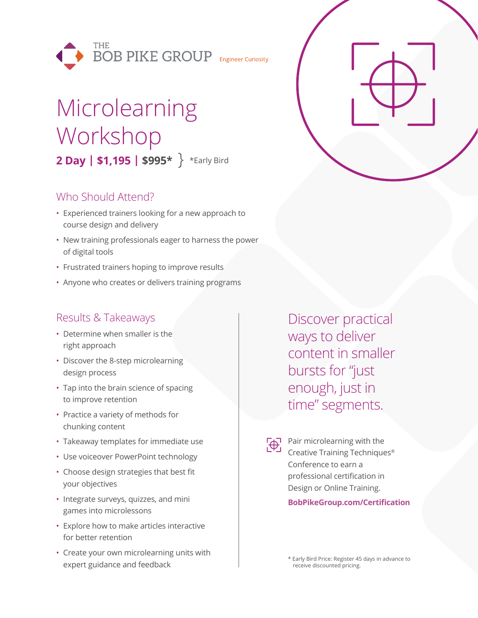

# Microlearning Workshop **2 Day | \$1,195 | \$995\*** \*Early Bird

### Who Should Attend?

- Experienced trainers looking for a new approach to course design and delivery
- New training professionals eager to harness the power of digital tools
- Frustrated trainers hoping to improve results
- Anyone who creates or delivers training programs

## Results & Takeaways

- Determine when smaller is the right approach
- Discover the 8-step microlearning design process
- Tap into the brain science of spacing to improve retention
- Practice a variety of methods for chunking content
- Takeaway templates for immediate use
- Use voiceover PowerPoint technology
- Choose design strategies that best fit your objectives
- Integrate surveys, quizzes, and mini games into microlessons
- Explore how to make articles interactive for better retention
- Create your own microlearning units with expert guidance and feedback

Discover practical ways to deliver content in smaller bursts for "just enough, just in time" segments.



Pair microlearning with the Creative Training Techniques® Conference to earn a professional certification in Design or Online Training.

**BobPikeGroup.com/Certification**

\* Early Bird Price: Register 45 days in advance to receive discounted pricing.